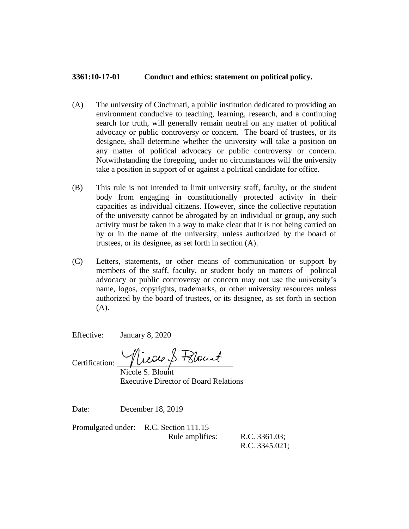## **3361:10-17-01 Conduct and ethics: statement on political policy.**

- (A) The university of Cincinnati, a public institution dedicated to providing an environment conducive to teaching, learning, research, and a continuing search for truth, will generally remain neutral on any matter of political advocacy or public controversy or concern. The board of trustees, or its designee, shall determine whether the university will take a position on any matter of political advocacy or public controversy or concern. Notwithstanding the foregoing, under no circumstances will the university take a position in support of or against a political candidate for office.
- (B) This rule is not intended to limit university staff, faculty, or the student body from engaging in constitutionally protected activity in their capacities as individual citizens. However, since the collective reputation of the university cannot be abrogated by an individual or group, any such activity must be taken in a way to make clear that it is not being carried on by or in the name of the university, unless authorized by the board of trustees, or its designee, as set forth in section (A).
- (C) Letters, statements, or other means of communication or support by members of the staff, faculty, or student body on matters of political advocacy or public controversy or concern may not use the university's name, logos, copyrights, trademarks, or other university resources unless authorized by the board of trustees, or its designee, as set forth in section  $(A)$ .

Effective: January 8, 2020

Certification: Nicole S. Follownt

Nicole S. Blount Executive Director of Board Relations

Date: December 18, 2019

Promulgated under: R.C. Section 111.15 Rule amplifies: R.C. 3361.03;

R.C. 3345.021;